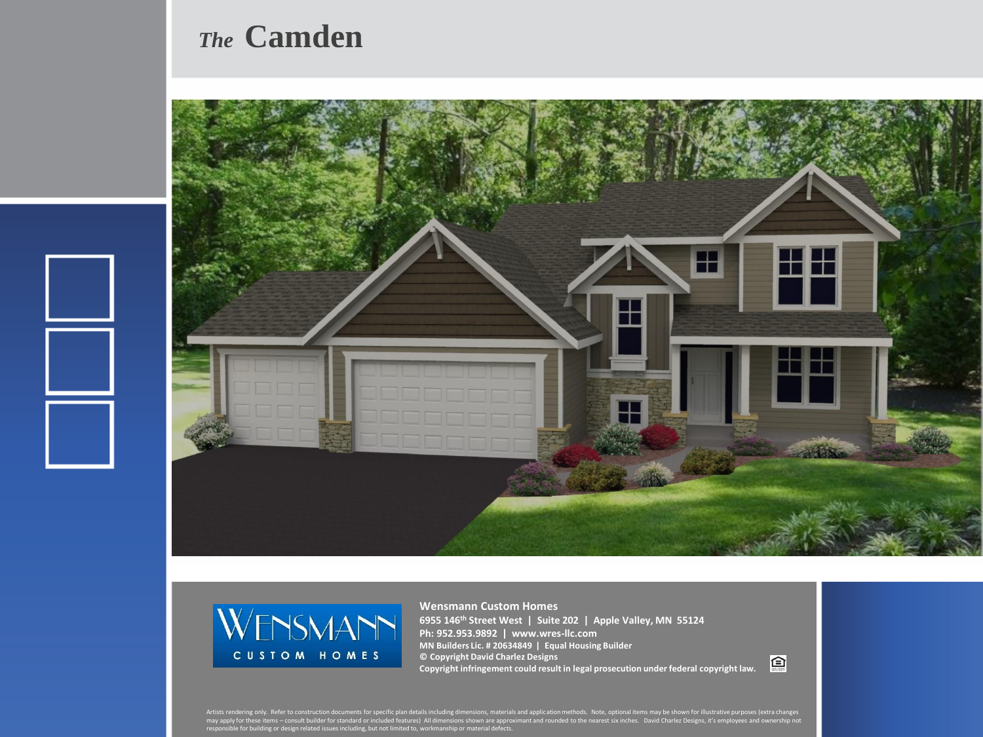## *The* **Camden**





**Wensmann Custom Homes 6955 146th Street West | Suite 202 | Apple Valley, MN 55124 Ph: 952.953.9892 | www.wres-llc.com MN Builders Lic. # 20634849 | Equal Housing Builder © Copyright David Charlez Designs Copyright infringement could result in legal prosecution under federal copyright law.**

回

Artists rendering only. Refer to construction documents for specific plan details including dimensions, materials and application methods. Note, optional items may be shown for illustrative purposes (extra changes<br>may appl